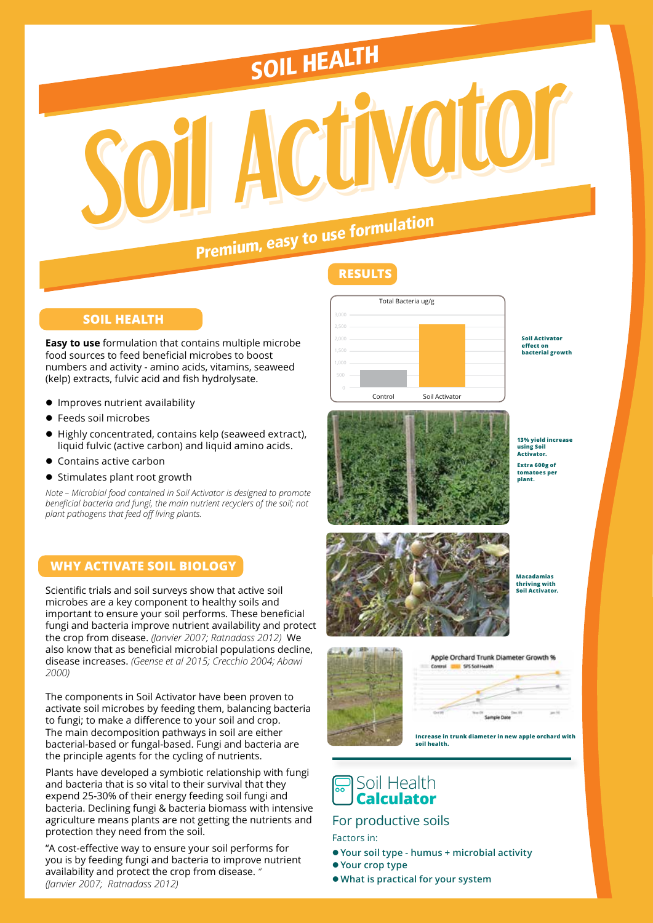# SOIL HEALTH

# *Soil Activator Soil Activator Soil Activator* Premium, easy to use formulation

#### **SOIL HEALTH**

**Easy to use** formulation that contains multiple microbe food sources to feed beneficial microbes to boost numbers and activity - amino acids, vitamins, seaweed (kelp) extracts, fulvic acid and fish hydrolysate.

- $\bullet$  Improves nutrient availability
- **•** Feeds soil microbes
- Highly concentrated, contains kelp (seaweed extract), liquid fulvic (active carbon) and liquid amino acids.
- Contains active carbon
- $\bullet$  Stimulates plant root growth

*Note – Microbial food contained in Soil Activator is designed to promote beneficial bacteria and fungi, the main nutrient recyclers of the soil; not plant pathogens that feed off living plants.*

#### **WHY ACTIVATE SOIL BIOLOGY**

Scientific trials and soil surveys show that active soil microbes are a key component to healthy soils and important to ensure your soil performs. These beneficial fungi and bacteria improve nutrient availability and protect the crop from disease. *(Janvier 2007; Ratnadass 2012)* We also know that as beneficial microbial populations decline, disease increases. *(Geense et al 2015; Crecchio 2004; Abawi 2000)*

The components in Soil Activator have been proven to activate soil microbes by feeding them, balancing bacteria to fungi; to make a difference to your soil and crop. The main decomposition pathways in soil are either bacterial-based or fungal-based. Fungi and bacteria are the principle agents for the cycling of nutrients.

Plants have developed a symbiotic relationship with fungi and bacteria that is so vital to their survival that they expend 25-30% of their energy feeding soil fungi and bacteria. Declining fungi & bacteria biomass with intensive agriculture means plants are not getting the nutrients and protection they need from the soil.

"A cost-effective way to ensure your soil performs for you is by feeding fungi and bacteria to improve nutrient availability and protect the crop from disease. *" (Janvier 2007; Ratnadass 2012)*

# **RESULTS**



**Soil Activator effect on bacterial growth**



**13% yield increase using Soil Activator. Extra 600g of tomatoes per plant.**



**Macadamias thriving with Soil Activator.**





#### For productive soils

Factors in:

- z **Your soil type humus + microbial activity**
- $\bullet$  **Your crop type**
- z**What is practical for your system**